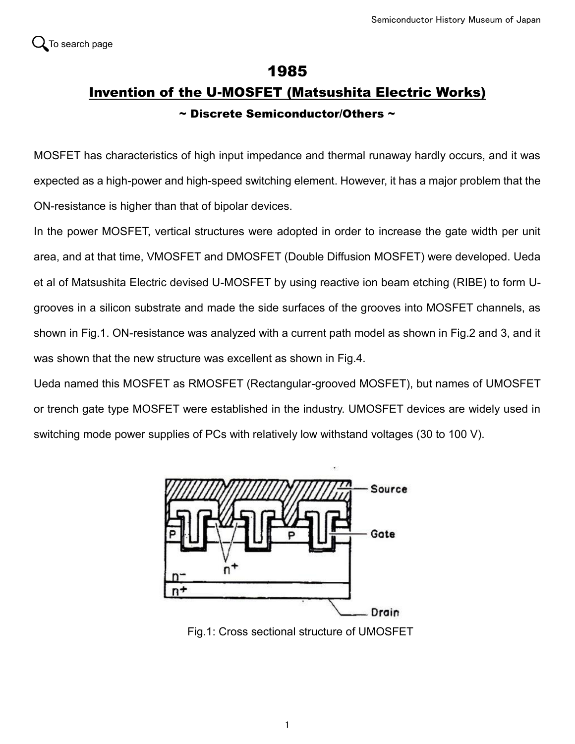## 1985 Invention of the U-MOSFET (Matsushita Electric Works) ~ Discrete Semiconductor/Others ~

MOSFET has characteristics of high input impedance and thermal runaway hardly occurs, and it was expected as a high-power and high-speed switching element. However, it has a major problem that the ON-resistance is higher than that of bipolar devices.

In the power MOSFET, vertical structures were adopted in order to increase the gate width per unit area, and at that time, VMOSFET and DMOSFET (Double Diffusion MOSFET) were developed. Ueda et al of Matsushita Electric devised U-MOSFET by using reactive ion beam etching (RIBE) to form Ugrooves in a silicon substrate and made the side surfaces of the grooves into MOSFET channels, as shown in Fig.1. ON-resistance was analyzed with a current path model as shown in Fig.2 and 3, and it was shown that the new structure was excellent as shown in Fig.4.

Ueda named this MOSFET as RMOSFET (Rectangular-grooved MOSFET), but names of UMOSFET or trench gate type MOSFET were established in the industry. UMOSFET devices are widely used in switching mode power supplies of PCs with relatively low withstand voltages (30 to 100 V).



Fig.1: Cross sectional structure of UMOSFET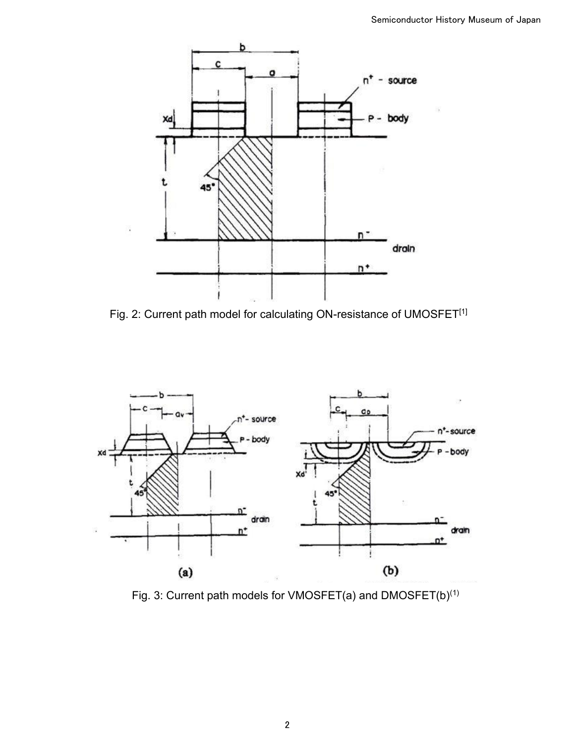

Fig. 2: Current path model for calculating ON-resistance of UMOSFET<sup>[1]</sup>



Fig. 3: Current path models for VMOSFET(a) and DMOSFET(b)(1)